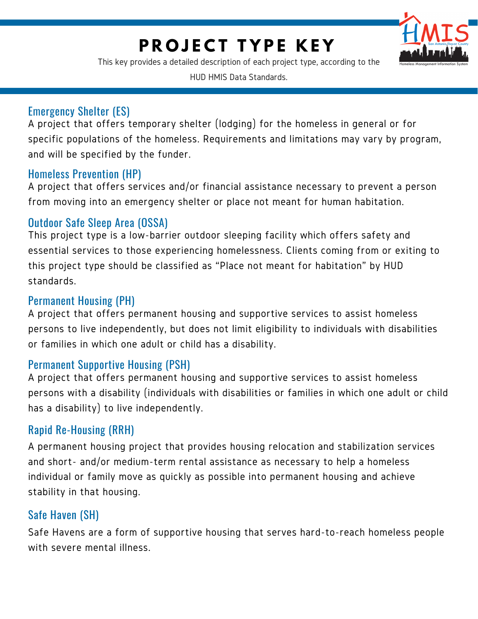# **P R O J E C T T Y P E K E Y**



This key provides a detailed description of each project type, according to the

HUD HMIS Data Standards.

#### Emergency Shelter (ES)

A project that offers temporary shelter (lodging) for the homeless in general or for specific populations of the homeless. Requirements and limitations may vary by program, and will be specified by the funder.

#### Homeless Prevention (HP)

A project that offers services and/or financial assistance necessary to prevent a person from moving into an emergency shelter or place not meant for human habitation.

#### Outdoor Safe Sleep Area (OSSA)

This project type is a low-barrier outdoor sleeping facility which offers safety and essential services to those experiencing homelessness. Clients coming from or exiting to this project type should be classified as "Place not meant for habitation" by HUD standards.

## Permanent Housing (PH)

A project that offers permanent housing and supportive services to assist homeless persons to live independently, but does not limit eligibility to individuals with disabilities or families in which one adult or child has a disability.

### Permanent Supportive Housing (PSH)

A project that offers permanent housing and supportive services to assist homeless persons with a disability (individuals with disabilities or families in which one adult or child has a disability) to live independently.

### Rapid Re-Housing (RRH)

A permanent housing project that provides housing relocation and stabilization services and short- and/or medium-term rental assistance as necessary to help a homeless individual or family move as quickly as possible into permanent housing and achieve stability in that housing.

### Safe Haven (SH)

Safe Havens are a form of supportive housing that serves hard-to-reach homeless people with severe mental illness.